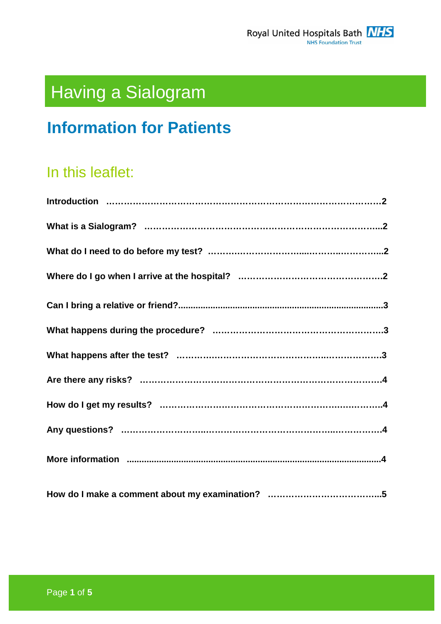

# Having a Sialogram

# **Information for Patients**

# In this leaflet: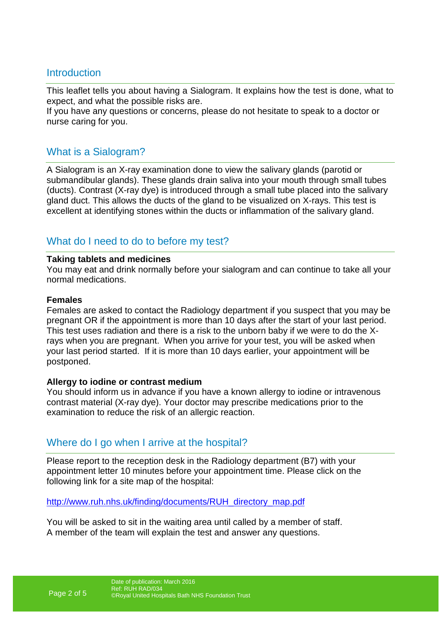#### **Introduction**

This leaflet tells you about having a Sialogram. It explains how the test is done, what to expect, and what the possible risks are.

If you have any questions or concerns, please do not hesitate to speak to a doctor or nurse caring for you.

#### What is a Sialogram?

A Sialogram is an X-ray examination done to view the salivary glands (parotid or submandibular glands). These glands drain saliva into your mouth through small tubes (ducts). Contrast (X-ray dye) is introduced through a small tube placed into the salivary gland duct. This allows the ducts of the gland to be visualized on X-rays. This test is excellent at identifying stones within the ducts or inflammation of the salivary gland.

### What do I need to do to before my test?

#### **Taking tablets and medicines**

You may eat and drink normally before your sialogram and can continue to take all your normal medications.

#### **Females**

Females are asked to contact the Radiology department if you suspect that you may be pregnant OR if the appointment is more than 10 days after the start of your last period. This test uses radiation and there is a risk to the unborn baby if we were to do the Xrays when you are pregnant. When you arrive for your test, you will be asked when your last period started. If it is more than 10 days earlier, your appointment will be postponed.

#### **Allergy to iodine or contrast medium**

You should inform us in advance if you have a known allergy to iodine or intravenous contrast material (X-ray dye). Your doctor may prescribe medications prior to the examination to reduce the risk of an allergic reaction.

### Where do I go when I arrive at the hospital?

Please report to the reception desk in the Radiology department (B7) with your appointment letter 10 minutes before your appointment time. Please click on the following link for a site map of the hospital:

http://www.ruh.nhs.uk/finding/documents/RUH\_directory\_map.pdf

You will be asked to sit in the waiting area until called by a member of staff. A member of the team will explain the test and answer any questions.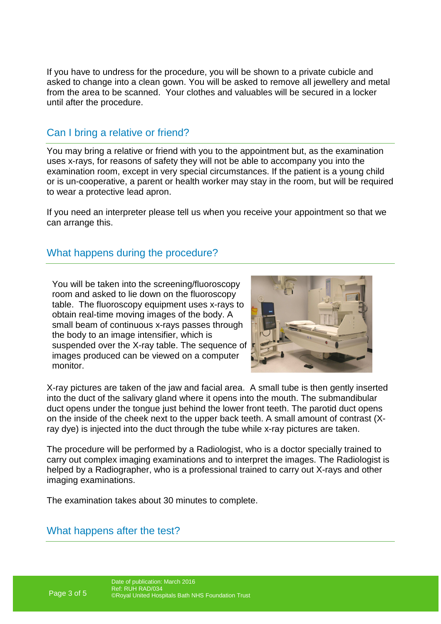If you have to undress for the procedure, you will be shown to a private cubicle and asked to change into a clean gown. You will be asked to remove all jewellery and metal from the area to be scanned. Your clothes and valuables will be secured in a locker until after the procedure.

## Can I bring a relative or friend?

You may bring a relative or friend with you to the appointment but, as the examination uses x-rays, for reasons of safety they will not be able to accompany you into the examination room, except in very special circumstances. If the patient is a young child or is un-cooperative, a parent or health worker may stay in the room, but will be required to wear a protective lead apron.

If you need an interpreter please tell us when you receive your appointment so that we can arrange this.

### What happens during the procedure?

You will be taken into the screening/fluoroscopy room and asked to lie down on the fluoroscopy table. The fluoroscopy equipment uses x-rays to obtain real-time moving images of the body. A small beam of continuous x-rays passes through the body to an image intensifier, which is suspended over the X-ray table. The sequence of images produced can be viewed on a computer monitor.



X-ray pictures are taken of the jaw and facial area. A small tube is then gently inserted into the duct of the salivary gland where it opens into the mouth. The submandibular duct opens under the tongue just behind the lower front teeth. The parotid duct opens on the inside of the cheek next to the upper back teeth. A small amount of contrast (Xray dye) is injected into the duct through the tube while x-ray pictures are taken.

The procedure will be performed by a Radiologist, who is a doctor specially trained to carry out complex imaging examinations and to interpret the images. The Radiologist is helped by a Radiographer, who is a professional trained to carry out X-rays and other imaging examinations.

The examination takes about 30 minutes to complete.

### What happens after the test?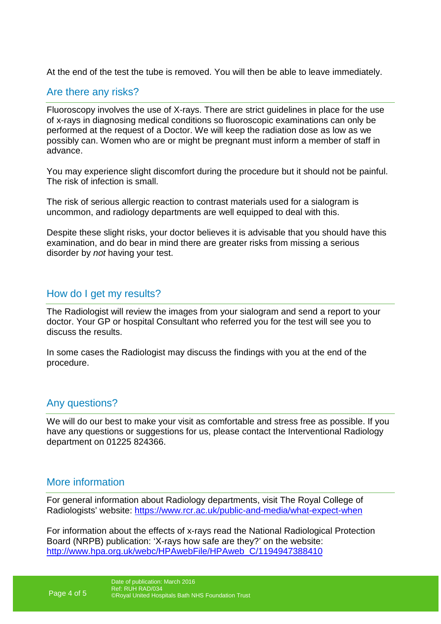At the end of the test the tube is removed. You will then be able to leave immediately.

#### Are there any risks?

Fluoroscopy involves the use of X-rays. There are strict guidelines in place for the use of x-rays in diagnosing medical conditions so fluoroscopic examinations can only be performed at the request of a Doctor. We will keep the radiation dose as low as we possibly can. Women who are or might be pregnant must inform a member of staff in advance.

You may experience slight discomfort during the procedure but it should not be painful. The risk of infection is small.

The risk of serious allergic reaction to contrast materials used for a sialogram is uncommon, and radiology departments are well equipped to deal with this.

Despite these slight risks, your doctor believes it is advisable that you should have this examination, and do bear in mind there are greater risks from missing a serious disorder by not having your test.

#### How do I get my results?

The Radiologist will review the images from your sialogram and send a report to your doctor. Your GP or hospital Consultant who referred you for the test will see you to discuss the results.

In some cases the Radiologist may discuss the findings with you at the end of the procedure.

### Any questions?

We will do our best to make your visit as comfortable and stress free as possible. If you have any questions or suggestions for us, please contact the Interventional Radiology department on 01225 824366.

### More information

For general information about Radiology departments, visit The Royal College of Radiologists' website: https://www.rcr.ac.uk/public-and-media/what-expect-when

For information about the effects of x-rays read the National Radiological Protection Board (NRPB) publication: 'X-rays how safe are they?' on the website: http://www.hpa.org.uk/webc/HPAwebFile/HPAweb\_C/1194947388410